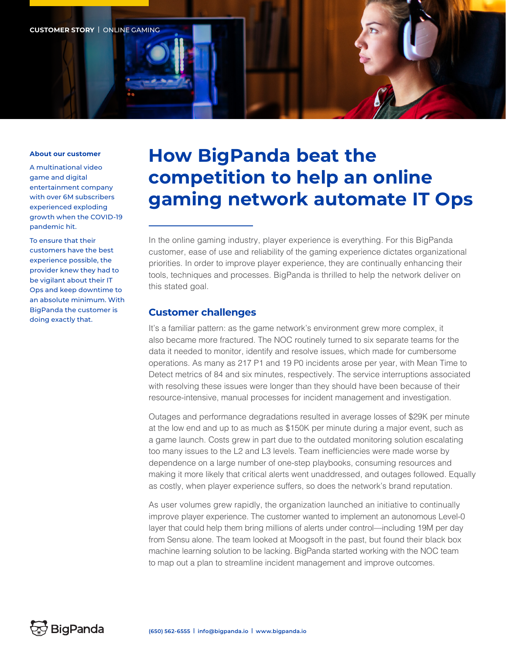

#### **About our customer**

A multinational video game and digital entertainment company with over 6M subscribers experienced exploding growth when the COVID-19 pandemic hit.

To ensure that their customers have the best experience possible, the provider knew they had to be vigilant about their IT Ops and keep downtime to an absolute minimum. With BigPanda the customer is doing exactly that.

# **How BigPanda beat the competition to help an online gaming network automate IT Ops**

In the online gaming industry, player experience is everything. For this BigPanda customer, ease of use and reliability of the gaming experience dictates organizational priorities. In order to improve player experience, they are continually enhancing their tools, techniques and processes. BigPanda is thrilled to help the network deliver on this stated goal.

### **Customer challenges**

It's a familiar pattern: as the game network's environment grew more complex, it also became more fractured. The NOC routinely turned to six separate teams for the data it needed to monitor, identify and resolve issues, which made for cumbersome operations. As many as 217 P1 and 19 P0 incidents arose per year, with Mean Time to Detect metrics of 84 and six minutes, respectively. The service interruptions associated with resolving these issues were longer than they should have been because of their resource-intensive, manual processes for incident management and investigation.

Outages and performance degradations resulted in average losses of \$29K per minute at the low end and up to as much as \$150K per minute during a major event, such as a game launch. Costs grew in part due to the outdated monitoring solution escalating too many issues to the L2 and L3 levels. Team inefficiencies were made worse by dependence on a large number of one-step playbooks, consuming resources and making it more likely that critical alerts went unaddressed, and outages followed. Equally as costly, when player experience suffers, so does the network's brand reputation.

As user volumes grew rapidly, the organization launched an initiative to continually improve player experience. The customer wanted to implement an autonomous Level-0 layer that could help them bring millions of alerts under control—including 19M per day from Sensu alone. The team looked at Moogsoft in the past, but found their black box machine learning solution to be lacking. BigPanda started working with the NOC team to map out a plan to streamline incident management and improve outcomes.

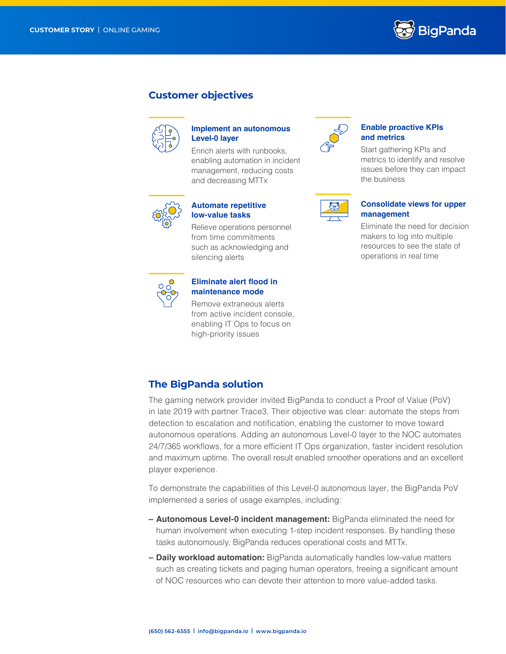

## **Customer objectives**



## **Implement an autonomous Level-0 layer**

Enrich alerts with runbooks, enabling automation in incident management, reducing costs and decreasing MTTx



## **Automate repetitive low-value tasks**

Relieve operations personnel from time commitments such as acknowledging and silencing alerts



#### **Eliminate alert flood in maintenance mode**

Remove extraneous alerts from active incident console, enabling IT Ops to focus on high-priority issues



#### **Enable proactive KPIs and metrics**

Start gathering KPIs and metrics to identify and resolve issues before they can impact the business



#### **Consolidate views for upper management**

Eliminate the need for decision makers to log into multiple resources to see the state of operations in real time

## **The BigPanda solution**

The gaming network provider invited BigPanda to conduct a Proof of Value (PoV) in late 2019 with partner Trace3. Their objective was clear: automate the steps from detection to escalation and notification, enabling the customer to move toward autonomous operations. Adding an autonomous Level-0 layer to the NOC automates 24/7/365 workflows, for a more efficient IT Ops organization, faster incident resolution and maximum uptime. The overall result enabled smoother operations and an excellent player experience.

To demonstrate the capabilities of this Level-0 autonomous layer, the BigPanda PoV implemented a series of usage examples, including:

- **– Autonomous Level-0 incident management:** BigPanda eliminated the need for human involvement when executing 1-step incident responses. By handling these tasks autonomously, BigPanda reduces operational costs and MTTx.
- **– Daily workload automation:** BigPanda automatically handles low-value matters such as creating tickets and paging human operators, freeing a significant amount of NOC resources who can devote their attention to more value-added tasks.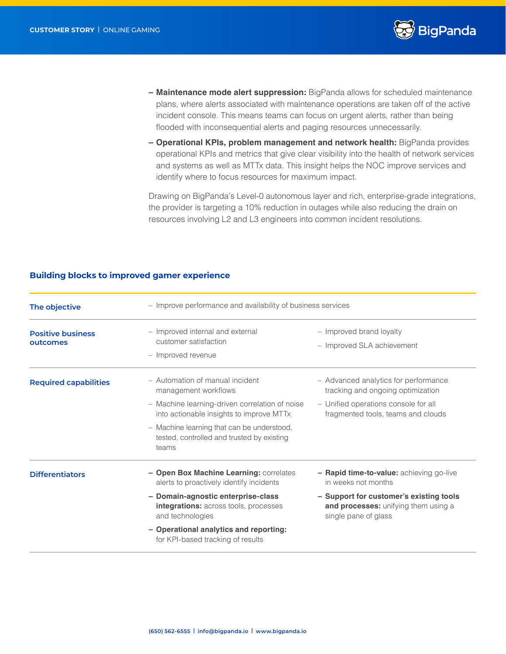

- **– Maintenance mode alert suppression:** BigPanda allows for scheduled maintenance plans, where alerts associated with maintenance operations are taken off of the active incident console. This means teams can focus on urgent alerts, rather than being flooded with inconsequential alerts and paging resources unnecessarily.
- **– Operational KPIs, problem management and network health:** BigPanda provides operational KPIs and metrics that give clear visibility into the health of network services and systems as well as MTTx data. This insight helps the NOC improve services and identify where to focus resources for maximum impact.

Drawing on BigPanda's Level-0 autonomous layer and rich, enterprise-grade integrations, the provider is targeting a 10% reduction in outages while also reducing the drain on resources involving L2 and L3 engineers into common incident resolutions.

| The objective                        | - Improve performance and availability of business services                                       |                                                                                                         |
|--------------------------------------|---------------------------------------------------------------------------------------------------|---------------------------------------------------------------------------------------------------------|
| <b>Positive business</b><br>outcomes | - Improved internal and external<br>customer satisfaction<br>- Improved revenue                   | - Improved brand loyalty<br>- Improved SLA achievement                                                  |
| <b>Required capabilities</b>         | - Automation of manual incident<br>management workflows                                           | - Advanced analytics for performance<br>tracking and ongoing optimization                               |
|                                      | - Machine learning-driven correlation of noise<br>into actionable insights to improve MTTx        | - Unified operations console for all<br>fragmented tools, teams and clouds                              |
|                                      | - Machine learning that can be understood,<br>tested, controlled and trusted by existing<br>teams |                                                                                                         |
| <b>Differentiators</b>               | - Open Box Machine Learning: correlates<br>alerts to proactively identify incidents               | - Rapid time-to-value: achieving go-live<br>in weeks not months                                         |
|                                      | - Domain-agnostic enterprise-class<br>integrations: across tools, processes<br>and technologies   | - Support for customer's existing tools<br>and processes: unifying them using a<br>single pane of glass |
|                                      | - Operational analytics and reporting:<br>for KPI-based tracking of results                       |                                                                                                         |

#### **Building blocks to improved gamer experience**